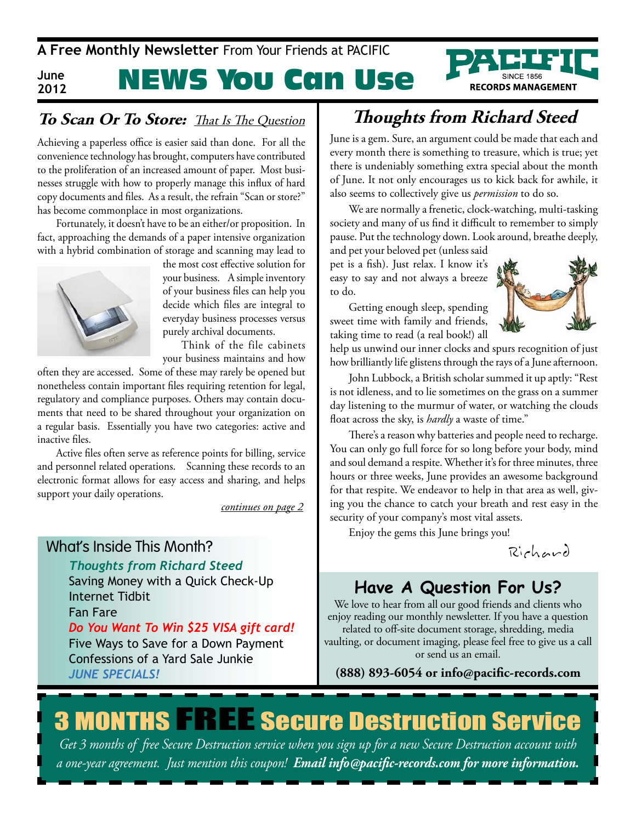

# NEWS You Can Use

### **To Scan Or To Store:** That Is The Question

Achieving a paperless office is easier said than done. For all the convenience technology has brought, computers have contributed to the proliferation of an increased amount of paper. Most businesses struggle with how to properly manage this influx of hard copy documents and files. As a result, the refrain "Scan or store?" has become commonplace in most organizations.

Fortunately, it doesn't have to be an either/or proposition. In fact, approaching the demands of a paper intensive organization with a hybrid combination of storage and scanning may lead to



**2012**

the most cost effective solution for your business. A simple inventory of your business files can help you decide which files are integral to everyday business processes versus purely archival documents.

Think of the file cabinets your business maintains and how

often they are accessed. Some of these may rarely be opened but nonetheless contain important files requiring retention for legal, regulatory and compliance purposes. Others may contain documents that need to be shared throughout your organization on a regular basis. Essentially you have two categories: active and inactive files.

Active files often serve as reference points for billing, service and personnel related operations. Scanning these records to an electronic format allows for easy access and sharing, and helps support your daily operations.

*continues on page 2*

### What's Inside This Month?

*Thoughts from Richard Steed*

Saving Money with a Quick Check-Up Internet Tidbit Fan Fare *Do You Want To Win \$25 VISA gift card!* Five Ways to Save for a Down Payment Confessions of a Yard Sale Junkie

*June SpecIAlS!*

## **Thoughts from Richard Steed**

June is a gem. Sure, an argument could be made that each and every month there is something to treasure, which is true; yet there is undeniably something extra special about the month of June. It not only encourages us to kick back for awhile, it also seems to collectively give us *permission* to do so.

We are normally a frenetic, clock-watching, multi-tasking society and many of us find it difficult to remember to simply pause. Put the technology down. Look around, breathe deeply,

and pet your beloved pet (unless said pet is a fish). Just relax. I know it's easy to say and not always a breeze to do.

Getting enough sleep, spending sweet time with family and friends, taking time to read (a real book!) all



help us unwind our inner clocks and spurs recognition of just how brilliantly life glistens through the rays of a June afternoon.

John Lubbock, a British scholar summed it up aptly: "Rest is not idleness, and to lie sometimes on the grass on a summer day listening to the murmur of water, or watching the clouds float across the sky, is *hardly* a waste of time."

There's a reason why batteries and people need to recharge. You can only go full force for so long before your body, mind and soul demand a respite. Whether it's for three minutes, three hours or three weeks, June provides an awesome background for that respite. We endeavor to help in that area as well, giving you the chance to catch your breath and rest easy in the security of your company's most vital assets.

Enjoy the gems this June brings you!

Rich ard

## **Have A Question For Us?**

We love to hear from all our good friends and clients who enjoy reading our monthly newsletter. If you have a question related to off-site document storage, shredding, media vaulting, or document imaging, please feel free to give us a call or send us an email.

**(888) 893-6054 or info@pacific-records.com**

# **3 MONTHS FREE Secure Destruction Service**

*Get 3 months of free Secure Destruction service when you sign up for a new Secure Destruction account with a one-year agreement. Just mention this coupon! Email info@pacific-records.com for more information.*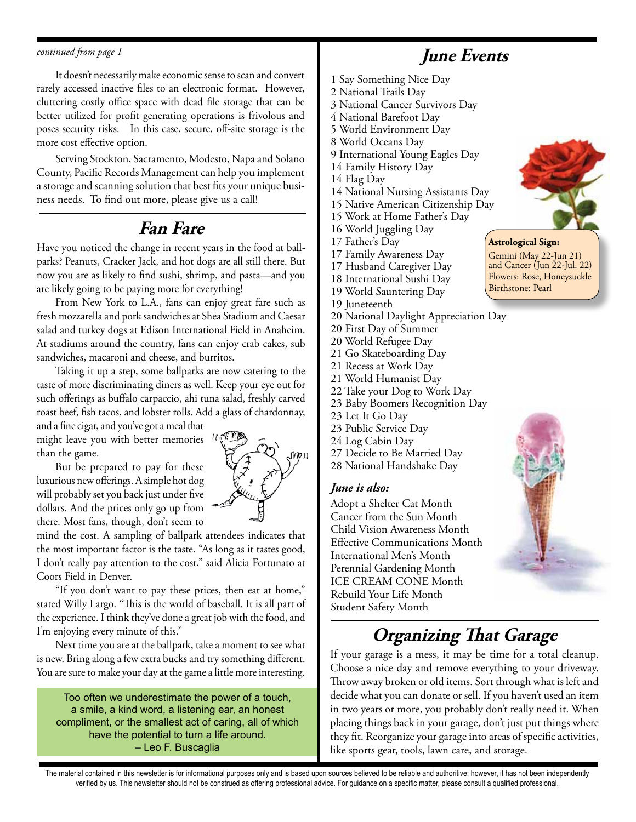#### *continued from page 1*

It doesn't necessarily make economic sense to scan and convert rarely accessed inactive files to an electronic format. However, cluttering costly office space with dead file storage that can be better utilized for profit generating operations is frivolous and poses security risks. In this case, secure, off-site storage is the more cost effective option.

Serving Stockton, Sacramento, Modesto, Napa and Solano County, Pacific Records Management can help you implement a storage and scanning solution that best fits your unique business needs. To find out more, please give us a call!

### **Fan Fare**

Have you noticed the change in recent years in the food at ballparks? Peanuts, Cracker Jack, and hot dogs are all still there. But now you are as likely to find sushi, shrimp, and pasta—and you are likely going to be paying more for everything!

From New York to L.A., fans can enjoy great fare such as fresh mozzarella and pork sandwiches at Shea Stadium and Caesar salad and turkey dogs at Edison International Field in Anaheim. At stadiums around the country, fans can enjoy crab cakes, sub sandwiches, macaroni and cheese, and burritos.

Taking it up a step, some ballparks are now catering to the taste of more discriminating diners as well. Keep your eye out for such offerings as buffalo carpaccio, ahi tuna salad, freshly carved roast beef, fish tacos, and lobster rolls. Add a glass of chardonnay,

and a fine cigar, and you've got a meal that might leave you with better memories than the game.

But be prepared to pay for these luxurious new offerings. A simple hot dog will probably set you back just under five dollars. And the prices only go up from there. Most fans, though, don't seem to



mind the cost. A sampling of ballpark attendees indicates that the most important factor is the taste. "As long as it tastes good, I don't really pay attention to the cost," said Alicia Fortunato at Coors Field in Denver.

"If you don't want to pay these prices, then eat at home," stated Willy Largo. "This is the world of baseball. It is all part of the experience. I think they've done a great job with the food, and I'm enjoying every minute of this."

Next time you are at the ballpark, take a moment to see what is new. Bring along a few extra bucks and try something different. You are sure to make your day at the game a little more interesting.

Too often we underestimate the power of a touch, a smile, a kind word, a listening ear, an honest compliment, or the smallest act of caring, all of which have the potential to turn a life around. – Leo F. Buscaglia

### **June Events**

- 1 Say Something Nice Day
- 2 National Trails Day
- 3 National Cancer Survivors Day
- 4 National Barefoot Day
- 5 World Environment Day
- 8 World Oceans Day
- 9 International Young Eagles Day
- 14 Family History Day
- 14 Flag Day
- 14 National Nursing Assistants Day
- 15 Native American Citizenship Day
- 15 Work at Home Father's Day
- 16 World Juggling Day
- 17 Father's Day
- 17 Family Awareness Day
- 17 Husband Caregiver Day
- 18 International Sushi Day
- 19 World Sauntering Day
- 19 Juneteenth
- 20 National Daylight Appreciation Day
- 20 First Day of Summer
- 20 World Refugee Day
- 21 Go Skateboarding Day
- 21 Recess at Work Day
- 21 World Humanist Day
- 22 Take your Dog to Work Day
- 23 Baby Boomers Recognition Day
- 23 Let It Go Day
- 23 Public Service Day
- 24 Log Cabin Day
- 27 Decide to Be Married Day
- 28 National Handshake Day

### *June is also:*

Adopt a Shelter Cat Month Cancer from the Sun Month Child Vision Awareness Month Effective Communications Month International Men's Month Perennial Gardening Month ICE CREAM CONE Month Rebuild Your Life Month Student Safety Month



**Astrological Sign:**  Gemini (May 22-Jun 21) and Cancer (Jun 22-Jul. 22) Flowers: Rose, Honeysuckle Birthstone: Pearl



## **Organizing That Garage**

If your garage is a mess, it may be time for a total cleanup. Choose a nice day and remove everything to your driveway. Throw away broken or old items. Sort through what is left and decide what you can donate or sell. If you haven't used an item in two years or more, you probably don't really need it. When placing things back in your garage, don't just put things where they fit. Reorganize your garage into areas of specific activities, like sports gear, tools, lawn care, and storage.

The material contained in this newsletter is for informational purposes only and is based upon sources believed to be reliable and authoritive; however, it has not been independently verified by us. This newsletter should not be construed as offering professional advice. For guidance on a specific matter, please consult a qualified professional.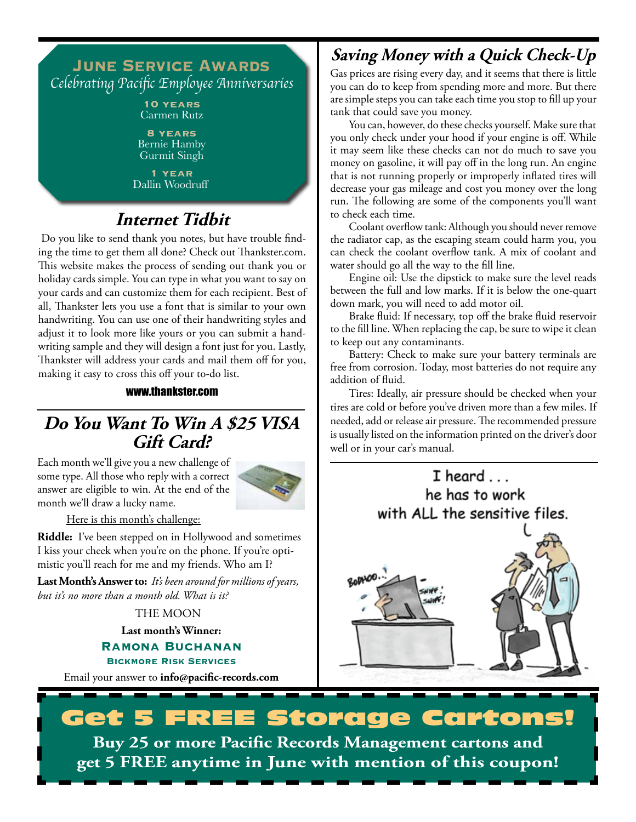### **June Service Awards** Celebrating Pacific Employee Anniversaries

**10 years** Carmen Rutz

**8 years** Bernie Hamby Gurmit Singh

**1 year** Dallin Woodruff

## **Internet Tidbit**

 Do you like to send thank you notes, but have trouble finding the time to get them all done? Check out Thankster.com. This website makes the process of sending out thank you or holiday cards simple. You can type in what you want to say on your cards and can customize them for each recipient. Best of all, Thankster lets you use a font that is similar to your own handwriting. You can use one of their handwriting styles and adjust it to look more like yours or you can submit a handwriting sample and they will design a font just for you. Lastly, Thankster will address your cards and mail them off for you, making it easy to cross this off your to-do list.

### www.thankster.com

### **Do You Want To Win A \$25 VISA Gift Card?**

Each month we'll give you a new challenge of some type. All those who reply with a correct answer are eligible to win. At the end of the month we'll draw a lucky name.



Here is this month's challenge:

**Riddle:** I've been stepped on in Hollywood and sometimes I kiss your cheek when you're on the phone. If you're optimistic you'll reach for me and my friends. Who am I?

**Last Month's Answer to:** *It's been around for millions of years, but it's no more than a month old. What is it?*

THE MOON

**Last month's Winner:**

**Ramona Buchanan Bickmore Risk Services**

Email your answer to **info@pacific-records.com**

### **Saving Money with a Quick Check-Up**

Gas prices are rising every day, and it seems that there is little you can do to keep from spending more and more. But there are simple steps you can take each time you stop to fill up your tank that could save you money.

You can, however, do these checks yourself. Make sure that you only check under your hood if your engine is off. While it may seem like these checks can not do much to save you money on gasoline, it will pay off in the long run. An engine that is not running properly or improperly inflated tires will decrease your gas mileage and cost you money over the long run. The following are some of the components you'll want to check each time.

Coolant overflow tank: Although you should never remove the radiator cap, as the escaping steam could harm you, you can check the coolant overflow tank. A mix of coolant and water should go all the way to the fill line.

Engine oil: Use the dipstick to make sure the level reads between the full and low marks. If it is below the one-quart down mark, you will need to add motor oil.

Brake fluid: If necessary, top off the brake fluid reservoir to the fill line. When replacing the cap, be sure to wipe it clean to keep out any contaminants.

Battery: Check to make sure your battery terminals are free from corrosion. Today, most batteries do not require any addition of fluid.

Tires: Ideally, air pressure should be checked when your tires are cold or before you've driven more than a few miles. If needed, add or release air pressure. The recommended pressure is usually listed on the information printed on the driver's door well or in your car's manual.



# **FREE Storage Cartons!**

**Buy 25 or more Pacific Records Management cartons and get 5 FREE anytime in June with mention of this coupon!**